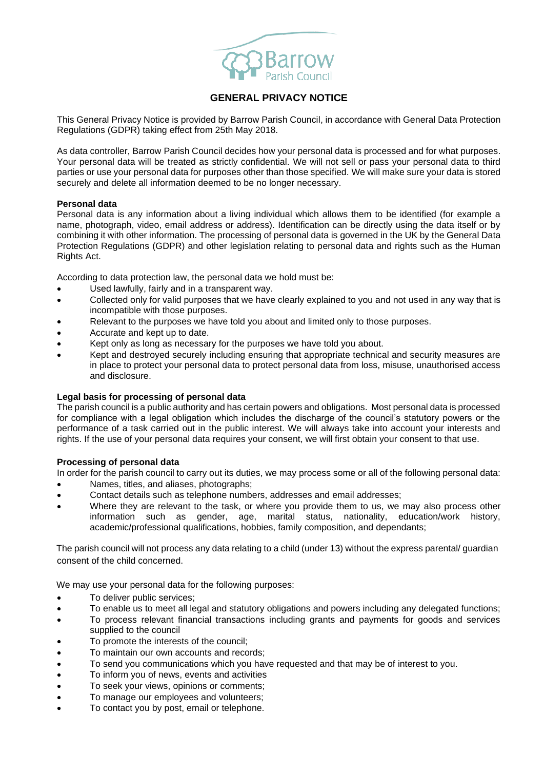

# **GENERAL PRIVACY NOTICE**

This General Privacy Notice is provided by Barrow Parish Council, in accordance with General Data Protection Regulations (GDPR) taking effect from 25th May 2018.

As data controller, Barrow Parish Council decides how your personal data is processed and for what purposes. Your personal data will be treated as strictly confidential. We will not sell or pass your personal data to third parties or use your personal data for purposes other than those specified. We will make sure your data is stored securely and delete all information deemed to be no longer necessary.

## **Personal data**

Personal data is any information about a living individual which allows them to be identified (for example a name, photograph, video, email address or address). Identification can be directly using the data itself or by combining it with other information. The processing of personal data is governed in the UK by the General Data Protection Regulations (GDPR) and other legislation relating to personal data and rights such as the Human Rights Act.

According to data protection law, the personal data we hold must be:

- Used lawfully, fairly and in a transparent way.
- Collected only for valid purposes that we have clearly explained to you and not used in any way that is incompatible with those purposes.
- Relevant to the purposes we have told you about and limited only to those purposes.
- Accurate and kept up to date.
- Kept only as long as necessary for the purposes we have told you about.
- Kept and destroyed securely including ensuring that appropriate technical and security measures are in place to protect your personal data to protect personal data from loss, misuse, unauthorised access and disclosure.

#### **Legal basis for processing of personal data**

The parish council is a public authority and has certain powers and obligations. Most personal data is processed for compliance with a legal obligation which includes the discharge of the council's statutory powers or the performance of a task carried out in the public interest. We will always take into account your interests and rights. If the use of your personal data requires your consent, we will first obtain your consent to that use.

#### **Processing of personal data**

In order for the parish council to carry out its duties, we may process some or all of the following personal data:

- Names, titles, and aliases, photographs;
- Contact details such as telephone numbers, addresses and email addresses;
- Where they are relevant to the task, or where you provide them to us, we may also process other information such as gender, age, marital status, nationality, education/work history, academic/professional qualifications, hobbies, family composition, and dependants;

The parish council will not process any data relating to a child (under 13) without the express parental/ guardian consent of the child concerned.

We may use your personal data for the following purposes:

- To deliver public services;
- To enable us to meet all legal and statutory obligations and powers including any delegated functions;
- To process relevant financial transactions including grants and payments for goods and services supplied to the council
- To promote the interests of the council;
- To maintain our own accounts and records;
- To send you communications which you have requested and that may be of interest to you.
- To inform you of news, events and activities
- To seek your views, opinions or comments;
- To manage our employees and volunteers;
- To contact you by post, email or telephone.